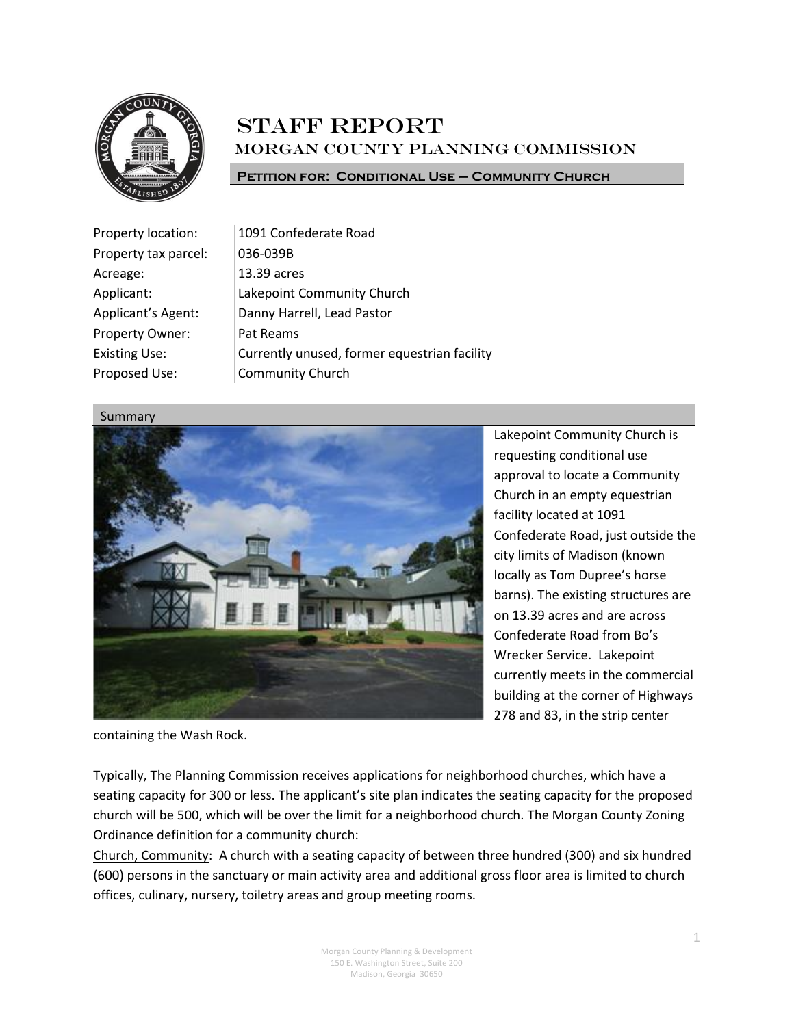

# **STAFF REPORT** Morgan County Planning Commission

**Petition for: Conditional Use – Community Church**

| Property location:   | 1091 Confederate Road                        |
|----------------------|----------------------------------------------|
| Property tax parcel: | 036-039B                                     |
| Acreage:             | 13.39 acres                                  |
| Applicant:           | Lakepoint Community Church                   |
| Applicant's Agent:   | Danny Harrell, Lead Pastor                   |
| Property Owner:      | Pat Reams                                    |
| <b>Existing Use:</b> | Currently unused, former equestrian facility |
| Proposed Use:        | <b>Community Church</b>                      |
|                      |                                              |

Summary



Lakepoint Community Church is requesting conditional use approval to locate a Community Church in an empty equestrian facility located at 1091 Confederate Road, just outside the city limits of Madison (known locally as Tom Dupree's horse barns). The existing structures are on 13.39 acres and are across Confederate Road from Bo's Wrecker Service. Lakepoint currently meets in the commercial building at the corner of Highways 278 and 83, in the strip center

containing the Wash Rock.

Typically, The Planning Commission receives applications for neighborhood churches, which have a seating capacity for 300 or less. The applicant's site plan indicates the seating capacity for the proposed church will be 500, which will be over the limit for a neighborhood church. The Morgan County Zoning Ordinance definition for a community church:

Church, Community: A church with a seating capacity of between three hundred (300) and six hundred (600) persons in the sanctuary or main activity area and additional gross floor area is limited to church offices, culinary, nursery, toiletry areas and group meeting rooms.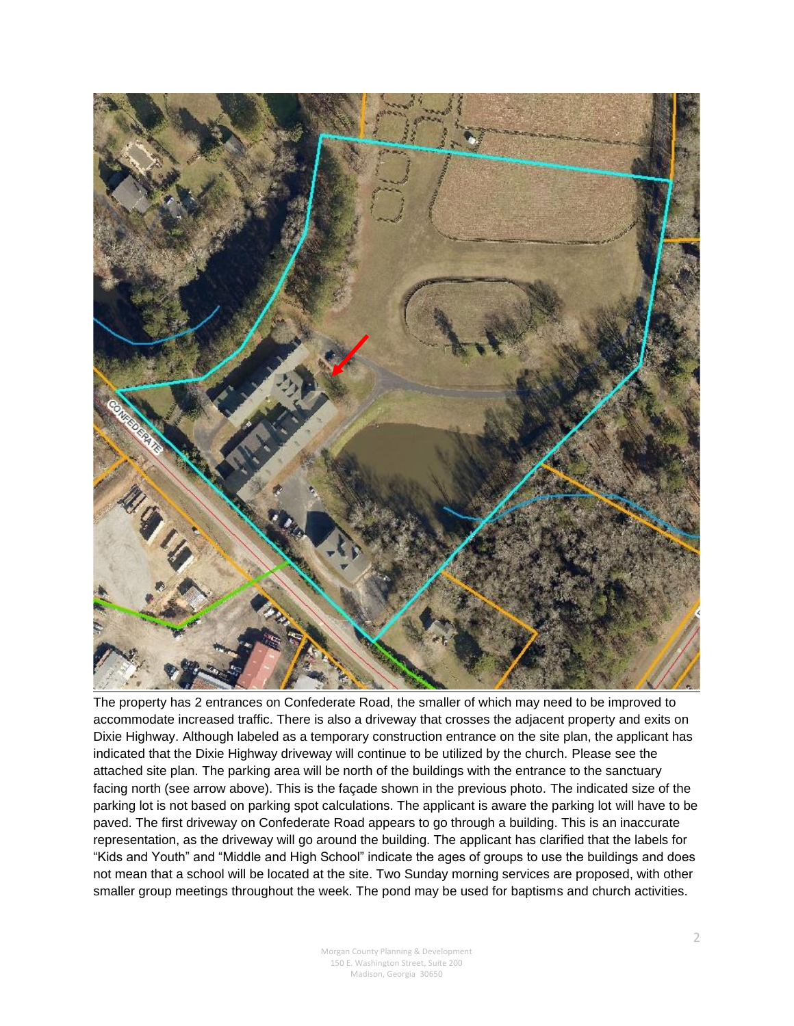

The property has 2 entrances on Confederate Road, the smaller of which may need to be improved to accommodate increased traffic. There is also a driveway that crosses the adjacent property and exits on Dixie Highway. Although labeled as a temporary construction entrance on the site plan, the applicant has indicated that the Dixie Highway driveway will continue to be utilized by the church. Please see the attached site plan. The parking area will be north of the buildings with the entrance to the sanctuary facing north (see arrow above). This is the façade shown in the previous photo. The indicated size of the parking lot is not based on parking spot calculations. The applicant is aware the parking lot will have to be paved. The first driveway on Confederate Road appears to go through a building. This is an inaccurate representation, as the driveway will go around the building. The applicant has clarified that the labels for "Kids and Youth" and "Middle and High School" indicate the ages of groups to use the buildings and does not mean that a school will be located at the site. Two Sunday morning services are proposed, with other smaller group meetings throughout the week. The pond may be used for baptisms and church activities.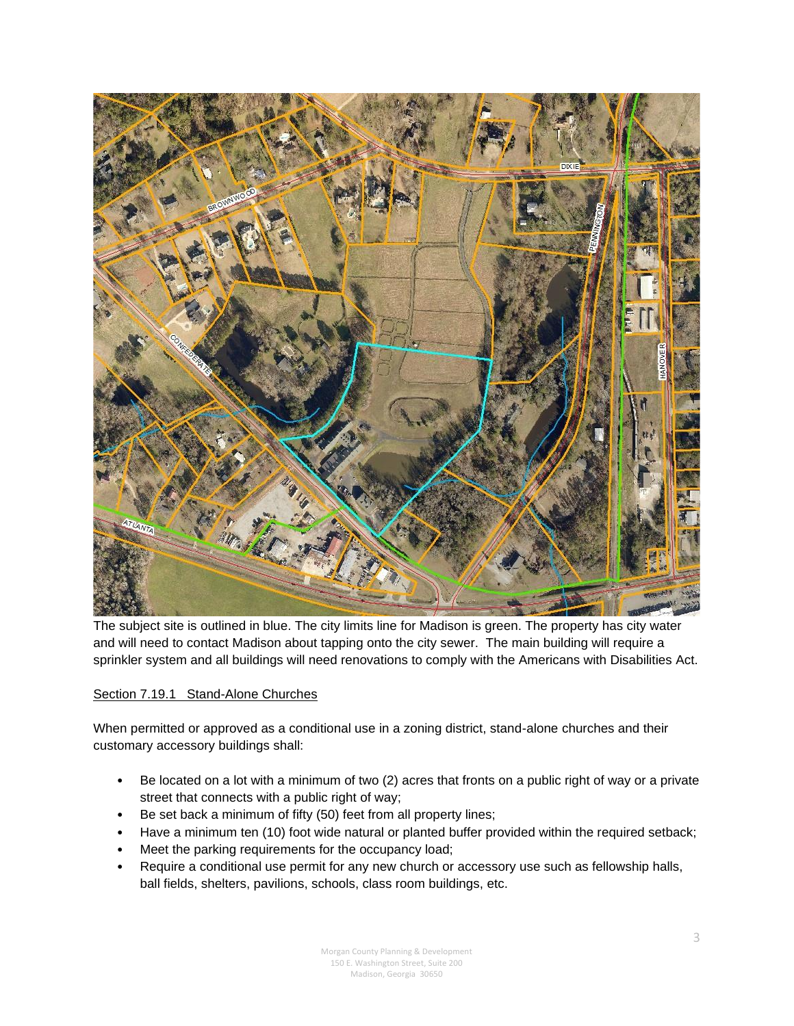

The subject site is outlined in blue. The city limits line for Madison is green. The property has city water and will need to contact Madison about tapping onto the city sewer. The main building will require a sprinkler system and all buildings will need renovations to comply with the Americans with Disabilities Act.

### Section 7.19.1 Stand-Alone Churches

When permitted or approved as a conditional use in a zoning district, stand-alone churches and their customary accessory buildings shall:

- Be located on a lot with a minimum of two (2) acres that fronts on a public right of way or a private street that connects with a public right of way;
- Be set back a minimum of fifty (50) feet from all property lines;
- Have a minimum ten (10) foot wide natural or planted buffer provided within the required setback;
- Meet the parking requirements for the occupancy load;
- Require a conditional use permit for any new church or accessory use such as fellowship halls, ball fields, shelters, pavilions, schools, class room buildings, etc.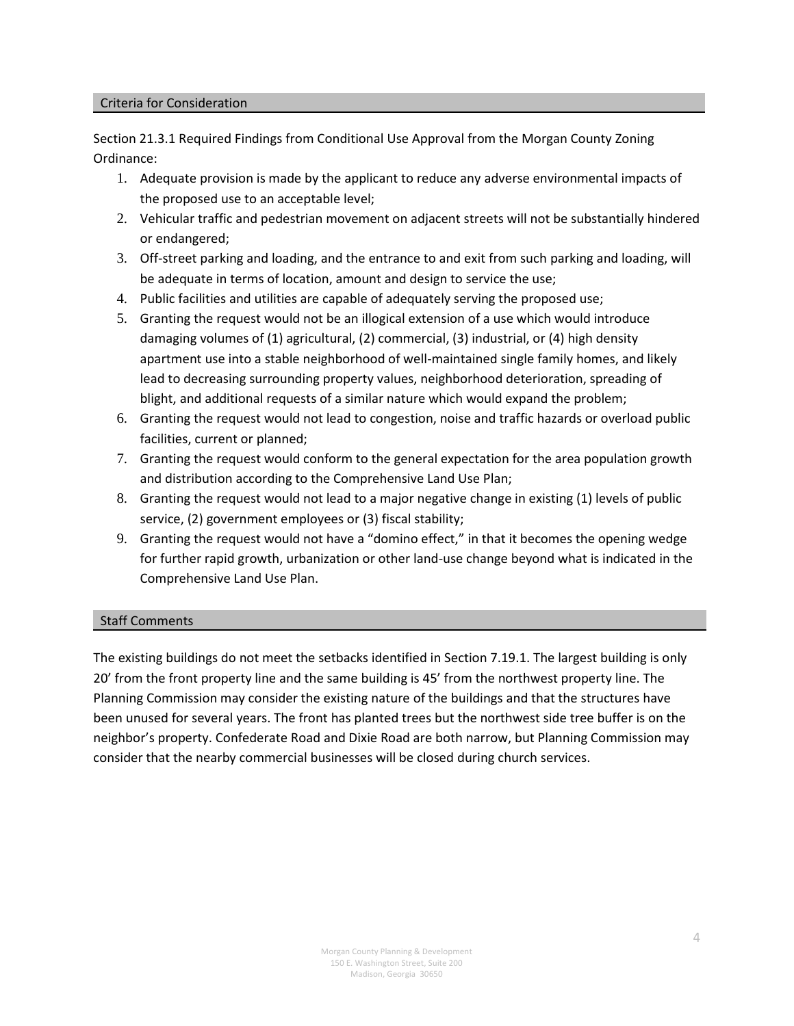#### Criteria for Consideration

Section 21.3.1 Required Findings from Conditional Use Approval from the Morgan County Zoning Ordinance:

- 1. Adequate provision is made by the applicant to reduce any adverse environmental impacts of the proposed use to an acceptable level;
- 2. Vehicular traffic and pedestrian movement on adjacent streets will not be substantially hindered or endangered;
- 3. Off-street parking and loading, and the entrance to and exit from such parking and loading, will be adequate in terms of location, amount and design to service the use;
- 4. Public facilities and utilities are capable of adequately serving the proposed use;
- 5. Granting the request would not be an illogical extension of a use which would introduce damaging volumes of (1) agricultural, (2) commercial, (3) industrial, or (4) high density apartment use into a stable neighborhood of well-maintained single family homes, and likely lead to decreasing surrounding property values, neighborhood deterioration, spreading of blight, and additional requests of a similar nature which would expand the problem;
- 6. Granting the request would not lead to congestion, noise and traffic hazards or overload public facilities, current or planned;
- 7. Granting the request would conform to the general expectation for the area population growth and distribution according to the Comprehensive Land Use Plan;
- 8. Granting the request would not lead to a major negative change in existing (1) levels of public service, (2) government employees or (3) fiscal stability;
- 9. Granting the request would not have a "domino effect," in that it becomes the opening wedge for further rapid growth, urbanization or other land-use change beyond what is indicated in the Comprehensive Land Use Plan.

#### Staff Comments

The existing buildings do not meet the setbacks identified in Section 7.19.1. The largest building is only 20' from the front property line and the same building is 45' from the northwest property line. The Planning Commission may consider the existing nature of the buildings and that the structures have been unused for several years. The front has planted trees but the northwest side tree buffer is on the neighbor's property. Confederate Road and Dixie Road are both narrow, but Planning Commission may consider that the nearby commercial businesses will be closed during church services.